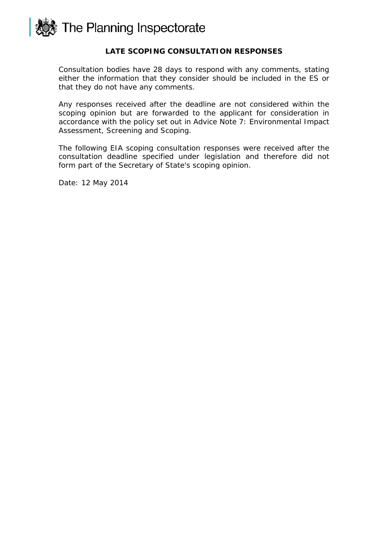

## **LATE SCOPING CONSULTATION RESPONSES**

Consultation bodies have 28 days to respond with any comments, stating either the information that they consider should be included in the ES or that they do not have any comments.

Any responses received after the deadline are not considered within the scoping opinion but are forwarded to the applicant for consideration in accordance with the policy set out in Advice Note 7: Environmental Impact Assessment, Screening and Scoping.

The following EIA scoping consultation responses were received after the consultation deadline specified under legislation and therefore did not form part of the Secretary of State's scoping opinion.

Date: 12 May 2014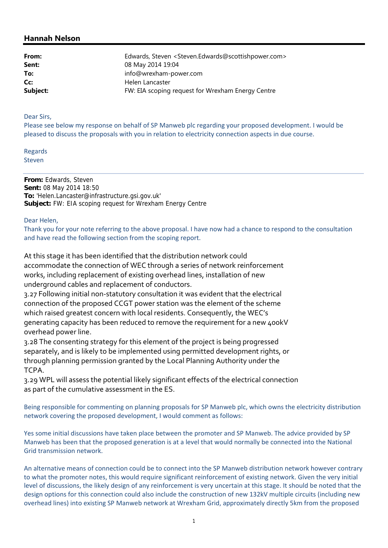## **Hannah Nelson**

| From:    | Edwards, Steven <steven.edwards@scottishpower.com></steven.edwards@scottishpower.com> |
|----------|---------------------------------------------------------------------------------------|
| Sent:    | 08 May 2014 19:04                                                                     |
| To:      | info@wrexham-power.com                                                                |
| Cc:      | Helen Lancaster                                                                       |
| Subject: | FW: EIA scoping request for Wrexham Energy Centre                                     |

Dear Sirs,

Please see below my response on behalf of SP Manweb plc regarding your proposed development. I would be pleased to discuss the proposals with you in relation to electricity connection aspects in due course.

Regards Steven

**From:** Edwards, Steven **Sent:** 08 May 2014 18:50 **To:** 'Helen.Lancaster@infrastructure.gsi.gov.uk' **Subject:** FW: EIA scoping request for Wrexham Energy Centre

Dear Helen,

Thank you for your note referring to the above proposal. I have now had a chance to respond to the consultation and have read the following section from the scoping report.

At this stage it has been identified that the distribution network could accommodate the connection of WEC through a series of network reinforcement works, including replacement of existing overhead lines, installation of new underground cables and replacement of conductors.

3.27 Following initial non‐statutory consultation it was evident that the electrical connection of the proposed CCGT power station was the element of the scheme which raised greatest concern with local residents. Consequently, the WEC's generating capacity has been reduced to remove the requirement for a new 400kV overhead power line.

3.28 The consenting strategy for this element of the project is being progressed separately, and is likely to be implemented using permitted development rights, or through planning permission granted by the Local Planning Authority under the TCPA.

3.29 WPL will assess the potential likely significant effects of the electrical connection as part of the cumulative assessment in the ES.

Being responsible for commenting on planning proposals for SP Manweb plc, which owns the electricity distribution network covering the proposed development, I would comment as follows:

Yes some initial discussions have taken place between the promoter and SP Manweb. The advice provided by SP Manweb has been that the proposed generation is at a level that would normally be connected into the National Grid transmission network.

An alternative means of connection could be to connect into the SP Manweb distribution network however contrary to what the promoter notes, this would require significant reinforcement of existing network. Given the very initial level of discussions, the likely design of any reinforcement is very uncertain at this stage. It should be noted that the design options for this connection could also include the construction of new 132kV multiple circuits (including new overhead lines) into existing SP Manweb network at Wrexham Grid, approximately directly 5km from the proposed